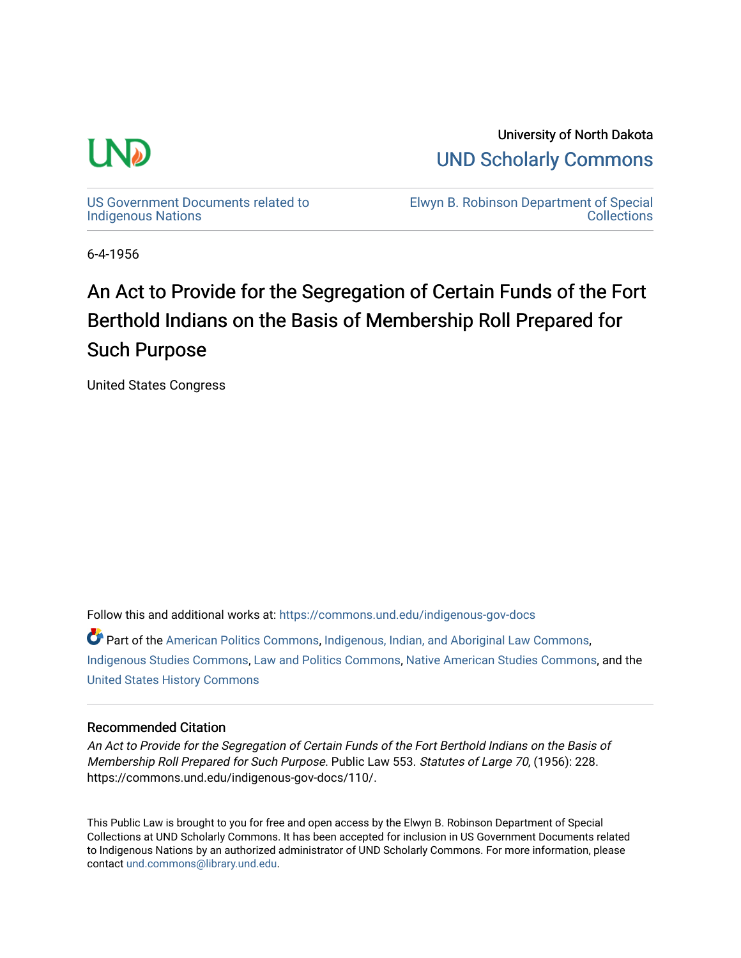

University of North Dakota [UND Scholarly Commons](https://commons.und.edu/) 

[US Government Documents related to](https://commons.und.edu/indigenous-gov-docs)  [Indigenous Nations](https://commons.und.edu/indigenous-gov-docs) 

[Elwyn B. Robinson Department of Special](https://commons.und.edu/archives)  **Collections** 

6-4-1956

### An Act to Provide for the Segregation of Certain Funds of the Fort Berthold Indians on the Basis of Membership Roll Prepared for Such Purpose

United States Congress

Follow this and additional works at: [https://commons.und.edu/indigenous-gov-docs](https://commons.und.edu/indigenous-gov-docs?utm_source=commons.und.edu%2Findigenous-gov-docs%2F110&utm_medium=PDF&utm_campaign=PDFCoverPages) 

Part of the [American Politics Commons,](https://network.bepress.com/hgg/discipline/387?utm_source=commons.und.edu%2Findigenous-gov-docs%2F110&utm_medium=PDF&utm_campaign=PDFCoverPages) [Indigenous, Indian, and Aboriginal Law Commons](https://network.bepress.com/hgg/discipline/894?utm_source=commons.und.edu%2Findigenous-gov-docs%2F110&utm_medium=PDF&utm_campaign=PDFCoverPages), [Indigenous Studies Commons](https://network.bepress.com/hgg/discipline/571?utm_source=commons.und.edu%2Findigenous-gov-docs%2F110&utm_medium=PDF&utm_campaign=PDFCoverPages), [Law and Politics Commons](https://network.bepress.com/hgg/discipline/867?utm_source=commons.und.edu%2Findigenous-gov-docs%2F110&utm_medium=PDF&utm_campaign=PDFCoverPages), [Native American Studies Commons](https://network.bepress.com/hgg/discipline/1434?utm_source=commons.und.edu%2Findigenous-gov-docs%2F110&utm_medium=PDF&utm_campaign=PDFCoverPages), and the [United States History Commons](https://network.bepress.com/hgg/discipline/495?utm_source=commons.und.edu%2Findigenous-gov-docs%2F110&utm_medium=PDF&utm_campaign=PDFCoverPages)

### Recommended Citation

An Act to Provide for the Segregation of Certain Funds of the Fort Berthold Indians on the Basis of Membership Roll Prepared for Such Purpose. Public Law 553. Statutes of Large 70, (1956): 228. https://commons.und.edu/indigenous-gov-docs/110/.

This Public Law is brought to you for free and open access by the Elwyn B. Robinson Department of Special Collections at UND Scholarly Commons. It has been accepted for inclusion in US Government Documents related to Indigenous Nations by an authorized administrator of UND Scholarly Commons. For more information, please contact [und.commons@library.und.edu.](mailto:und.commons@library.und.edu)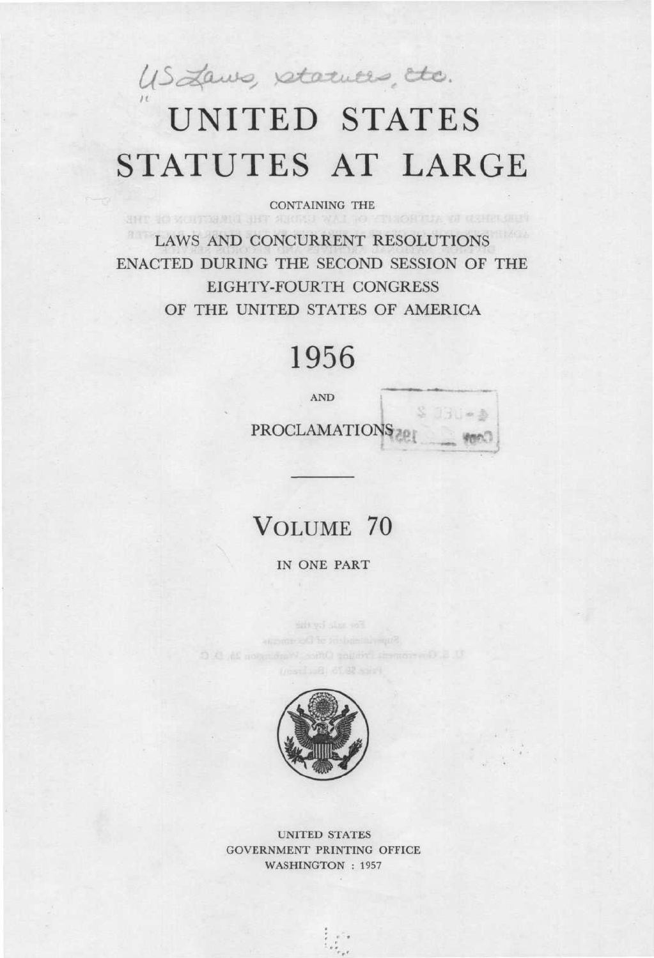US Laws, starutes, ttc.

# UNITED STATES STATUTES AT LARGE

CONTAINING THE

LAWS AND CONCURRENT RESOLUTIONS ENACTED DURING THE SECOND SESSION OF THE EIGHTY-FOURTH CONGRESS OF THE UNITED STATES OF AMERICA

## 1956

**AND** 

 $PROCLAMATION<sub>3201</sub>$ 

 $$731 - $$ 

### VOLUME 70

IN ONE PART



UNITED STATES GOVERNMENT PRINTING OFFICE WASHINGTON : 1957